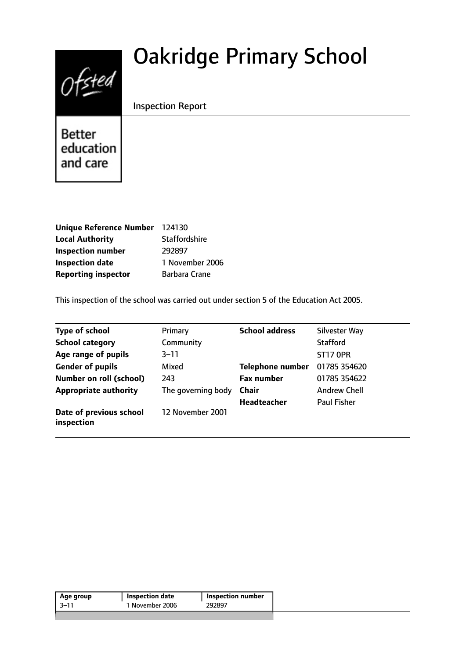# Ofsted

# Oakridge Primary School

# Inspection Report

Better education and care

| Unique Reference Number 124130 |                      |
|--------------------------------|----------------------|
| <b>Local Authority</b>         | <b>Staffordshire</b> |
| <b>Inspection number</b>       | 292897               |
| <b>Inspection date</b>         | 1 November 2006      |
| <b>Reporting inspector</b>     | Barbara Crane        |

This inspection of the school was carried out under section 5 of the Education Act 2005.

| <b>Type of school</b>                 | Primary            | <b>School address</b>   | Silvester Way       |
|---------------------------------------|--------------------|-------------------------|---------------------|
| <b>School category</b>                | Community          |                         | <b>Stafford</b>     |
| Age range of pupils                   | $3 - 11$           |                         | <b>ST17 OPR</b>     |
| <b>Gender of pupils</b>               | Mixed              | <b>Telephone number</b> | 01785 354620        |
| <b>Number on roll (school)</b>        | 243                | <b>Fax number</b>       | 01785 354622        |
| <b>Appropriate authority</b>          | The governing body | Chair                   | <b>Andrew Chell</b> |
|                                       |                    | <b>Headteacher</b>      | <b>Paul Fisher</b>  |
| Date of previous school<br>inspection | 12 November 2001   |                         |                     |

| Age group | <b>Inspection date</b> | <b>Inspection number</b> |
|-----------|------------------------|--------------------------|
| -3–11     | 1 November 2006        | 292897                   |
|           |                        |                          |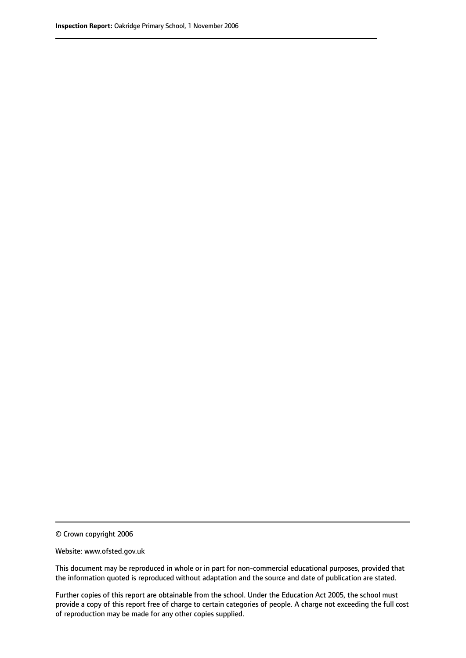© Crown copyright 2006

Website: www.ofsted.gov.uk

This document may be reproduced in whole or in part for non-commercial educational purposes, provided that the information quoted is reproduced without adaptation and the source and date of publication are stated.

Further copies of this report are obtainable from the school. Under the Education Act 2005, the school must provide a copy of this report free of charge to certain categories of people. A charge not exceeding the full cost of reproduction may be made for any other copies supplied.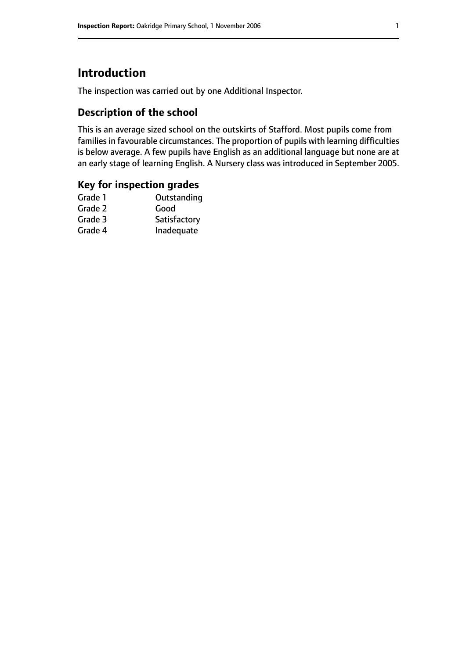# **Introduction**

The inspection was carried out by one Additional Inspector.

## **Description of the school**

This is an average sized school on the outskirts of Stafford. Most pupils come from families in favourable circumstances. The proportion of pupils with learning difficulties is below average. A few pupils have English as an additional language but none are at an early stage of learning English. A Nursery class was introduced in September 2005.

### **Key for inspection grades**

| Grade 1 | Outstanding  |
|---------|--------------|
| Grade 2 | Good         |
| Grade 3 | Satisfactory |
| Grade 4 | Inadequate   |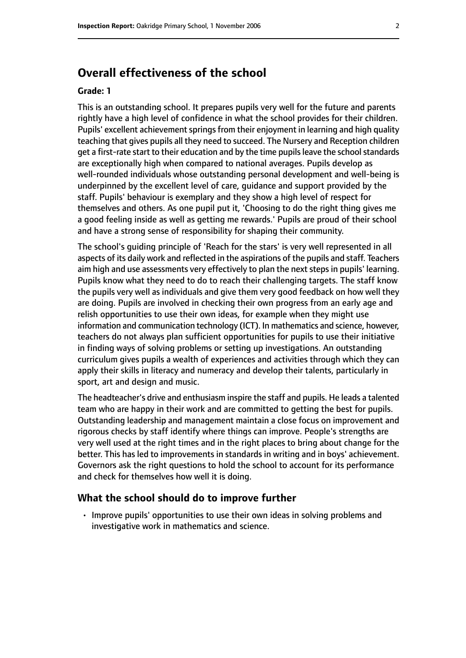# **Overall effectiveness of the school**

#### **Grade: 1**

This is an outstanding school. It prepares pupils very well for the future and parents rightly have a high level of confidence in what the school provides for their children. Pupils' excellent achievement springs from their enjoyment in learning and high quality teaching that gives pupils all they need to succeed. The Nursery and Reception children get a first-rate start to their education and by the time pupils leave the school standards are exceptionally high when compared to national averages. Pupils develop as well-rounded individuals whose outstanding personal development and well-being is underpinned by the excellent level of care, guidance and support provided by the staff. Pupils' behaviour is exemplary and they show a high level of respect for themselves and others. As one pupil put it, 'Choosing to do the right thing gives me a good feeling inside as well as getting me rewards.' Pupils are proud of their school and have a strong sense of responsibility for shaping their community.

The school's guiding principle of 'Reach for the stars' is very well represented in all aspects of its daily work and reflected in the aspirations of the pupils and staff. Teachers aim high and use assessments very effectively to plan the next steps in pupils' learning. Pupils know what they need to do to reach their challenging targets. The staff know the pupils very well as individuals and give them very good feedback on how well they are doing. Pupils are involved in checking their own progress from an early age and relish opportunities to use their own ideas, for example when they might use information and communication technology (ICT). In mathematics and science, however, teachers do not always plan sufficient opportunities for pupils to use their initiative in finding ways of solving problems or setting up investigations. An outstanding curriculum gives pupils a wealth of experiences and activities through which they can apply their skills in literacy and numeracy and develop their talents, particularly in sport, art and design and music.

The headteacher's drive and enthusiasm inspire the staff and pupils. He leads a talented team who are happy in their work and are committed to getting the best for pupils. Outstanding leadership and management maintain a close focus on improvement and rigorous checks by staff identify where things can improve. People's strengths are very well used at the right times and in the right places to bring about change for the better. This has led to improvements in standards in writing and in boys' achievement. Governors ask the right questions to hold the school to account for its performance and check for themselves how well it is doing.

#### **What the school should do to improve further**

• Improve pupils' opportunities to use their own ideas in solving problems and investigative work in mathematics and science.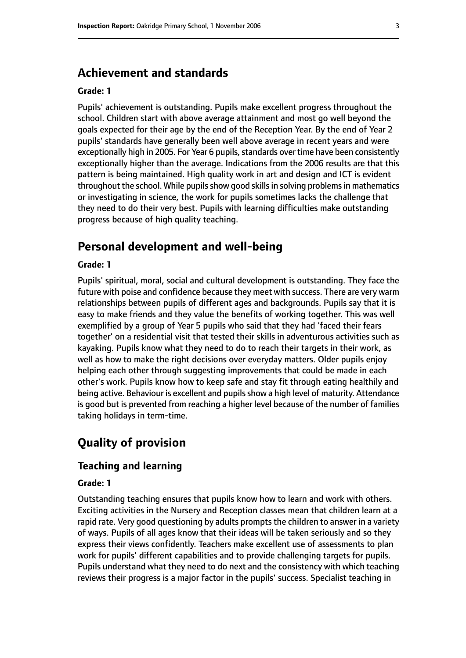# **Achievement and standards**

#### **Grade: 1**

Pupils' achievement is outstanding. Pupils make excellent progress throughout the school. Children start with above average attainment and most go well beyond the goals expected for their age by the end of the Reception Year. By the end of Year 2 pupils' standards have generally been well above average in recent years and were exceptionally high in 2005. For Year 6 pupils, standards over time have been consistently exceptionally higher than the average. Indications from the 2006 results are that this pattern is being maintained. High quality work in art and design and ICT is evident throughout the school. While pupils show good skills in solving problems in mathematics or investigating in science, the work for pupils sometimes lacks the challenge that they need to do their very best. Pupils with learning difficulties make outstanding progress because of high quality teaching.

# **Personal development and well-being**

#### **Grade: 1**

Pupils' spiritual, moral, social and cultural development is outstanding. They face the future with poise and confidence because they meet with success. There are very warm relationships between pupils of different ages and backgrounds. Pupils say that it is easy to make friends and they value the benefits of working together. This was well exemplified by a group of Year 5 pupils who said that they had 'faced their fears together' on a residential visit that tested their skills in adventurous activities such as kayaking. Pupils know what they need to do to reach their targets in their work, as well as how to make the right decisions over everyday matters. Older pupils enjoy helping each other through suggesting improvements that could be made in each other's work. Pupils know how to keep safe and stay fit through eating healthily and being active. Behaviour is excellent and pupils show a high level of maturity. Attendance is good but is prevented from reaching a higher level because of the number of families taking holidays in term-time.

# **Quality of provision**

#### **Teaching and learning**

#### **Grade: 1**

Outstanding teaching ensures that pupils know how to learn and work with others. Exciting activities in the Nursery and Reception classes mean that children learn at a rapid rate. Very good questioning by adults prompts the children to answer in a variety of ways. Pupils of all ages know that their ideas will be taken seriously and so they express their views confidently. Teachers make excellent use of assessments to plan work for pupils' different capabilities and to provide challenging targets for pupils. Pupils understand what they need to do next and the consistency with which teaching reviews their progress is a major factor in the pupils' success. Specialist teaching in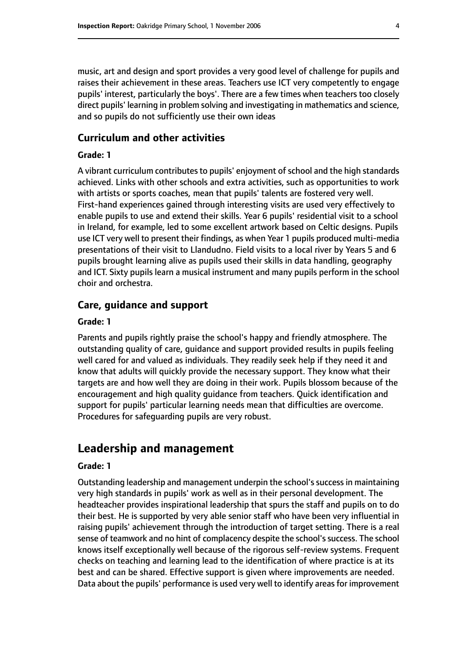music, art and design and sport provides a very good level of challenge for pupils and raises their achievement in these areas. Teachers use ICT very competently to engage pupils' interest, particularly the boys'. There are a few times when teachers too closely direct pupils' learning in problem solving and investigating in mathematics and science, and so pupils do not sufficiently use their own ideas

#### **Curriculum and other activities**

#### **Grade: 1**

A vibrant curriculum contributes to pupils' enjoyment of school and the high standards achieved. Links with other schools and extra activities, such as opportunities to work with artists or sports coaches, mean that pupils' talents are fostered very well. First-hand experiences gained through interesting visits are used very effectively to enable pupils to use and extend their skills. Year 6 pupils' residential visit to a school in Ireland, for example, led to some excellent artwork based on Celtic designs. Pupils use ICT very well to present their findings, as when Year 1 pupils produced multi-media presentations of their visit to Llandudno. Field visits to a local river by Years 5 and 6 pupils brought learning alive as pupils used their skills in data handling, geography and ICT. Sixty pupils learn a musical instrument and many pupils perform in the school choir and orchestra.

#### **Care, guidance and support**

#### **Grade: 1**

Parents and pupils rightly praise the school's happy and friendly atmosphere. The outstanding quality of care, guidance and support provided results in pupils feeling well cared for and valued as individuals. They readily seek help if they need it and know that adults will quickly provide the necessary support. They know what their targets are and how well they are doing in their work. Pupils blossom because of the encouragement and high quality guidance from teachers. Quick identification and support for pupils' particular learning needs mean that difficulties are overcome. Procedures for safeguarding pupils are very robust.

# **Leadership and management**

#### **Grade: 1**

Outstanding leadership and management underpin the school's success in maintaining very high standards in pupils' work as well as in their personal development. The headteacher provides inspirational leadership that spurs the staff and pupils on to do their best. He is supported by very able senior staff who have been very influential in raising pupils' achievement through the introduction of target setting. There is a real sense of teamwork and no hint of complacency despite the school's success. The school knows itself exceptionally well because of the rigorous self-review systems. Frequent checks on teaching and learning lead to the identification of where practice is at its best and can be shared. Effective support is given where improvements are needed. Data about the pupils' performance is used very well to identify areas for improvement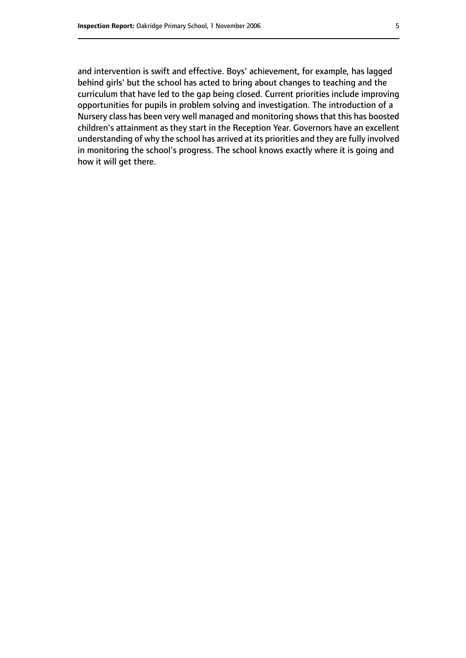and intervention is swift and effective. Boys' achievement, for example, has lagged behind girls' but the school has acted to bring about changes to teaching and the curriculum that have led to the gap being closed. Current priorities include improving opportunities for pupils in problem solving and investigation. The introduction of a Nursery class has been very well managed and monitoring shows that this has boosted children's attainment as they start in the Reception Year. Governors have an excellent understanding of why the school has arrived at its priorities and they are fully involved in monitoring the school's progress. The school knows exactly where it is going and how it will get there.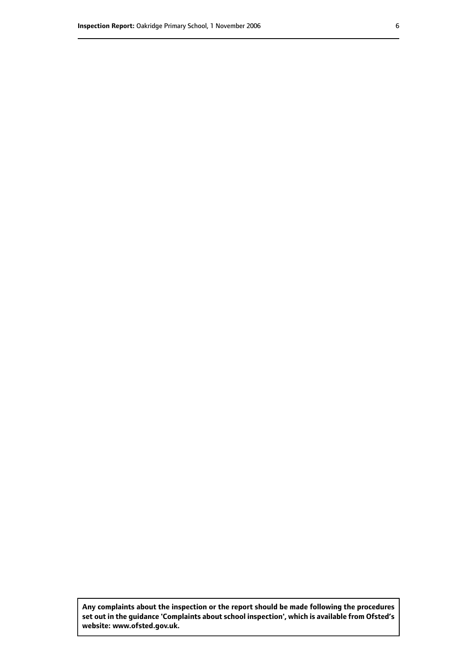**Any complaints about the inspection or the report should be made following the procedures set out inthe guidance 'Complaints about school inspection', whichis available from Ofsted's website: www.ofsted.gov.uk.**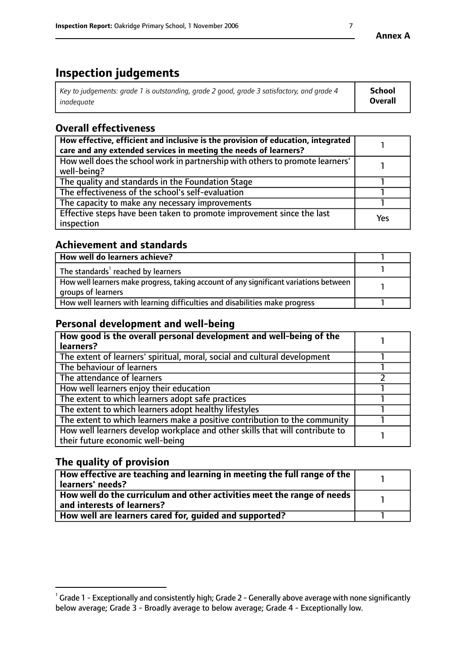# **Inspection judgements**

| Key to judgements: grade 1 is outstanding, grade 2 good, grade 3 satisfactory, and grade 4 | <b>School</b>  |
|--------------------------------------------------------------------------------------------|----------------|
| inadeauate                                                                                 | <b>Overall</b> |

# **Overall effectiveness**

| How effective, efficient and inclusive is the provision of education, integrated<br>care and any extended services in meeting the needs of learners? |     |
|------------------------------------------------------------------------------------------------------------------------------------------------------|-----|
| How well does the school work in partnership with others to promote learners'<br>well-being?                                                         |     |
| The quality and standards in the Foundation Stage                                                                                                    |     |
| The effectiveness of the school's self-evaluation                                                                                                    |     |
| The capacity to make any necessary improvements                                                                                                      |     |
| Effective steps have been taken to promote improvement since the last<br>inspection                                                                  | Yes |

# **Achievement and standards**

| How well do learners achieve?                                                                               |  |
|-------------------------------------------------------------------------------------------------------------|--|
| The standards <sup>1</sup> reached by learners                                                              |  |
| How well learners make progress, taking account of any significant variations between<br>groups of learners |  |
| How well learners with learning difficulties and disabilities make progress                                 |  |

# **Personal development and well-being**

| How good is the overall personal development and well-being of the<br>learners?                                  |  |
|------------------------------------------------------------------------------------------------------------------|--|
| The extent of learners' spiritual, moral, social and cultural development                                        |  |
| The behaviour of learners                                                                                        |  |
| The attendance of learners                                                                                       |  |
| How well learners enjoy their education                                                                          |  |
| The extent to which learners adopt safe practices                                                                |  |
| The extent to which learners adopt healthy lifestyles                                                            |  |
| The extent to which learners make a positive contribution to the community                                       |  |
| How well learners develop workplace and other skills that will contribute to<br>their future economic well-being |  |

# **The quality of provision**

| How effective are teaching and learning in meeting the full range of the<br>learners' needs?          |  |
|-------------------------------------------------------------------------------------------------------|--|
| How well do the curriculum and other activities meet the range of needs<br>and interests of learners? |  |
| How well are learners cared for, quided and supported?                                                |  |

 $^1$  Grade 1 - Exceptionally and consistently high; Grade 2 - Generally above average with none significantly below average; Grade 3 - Broadly average to below average; Grade 4 - Exceptionally low.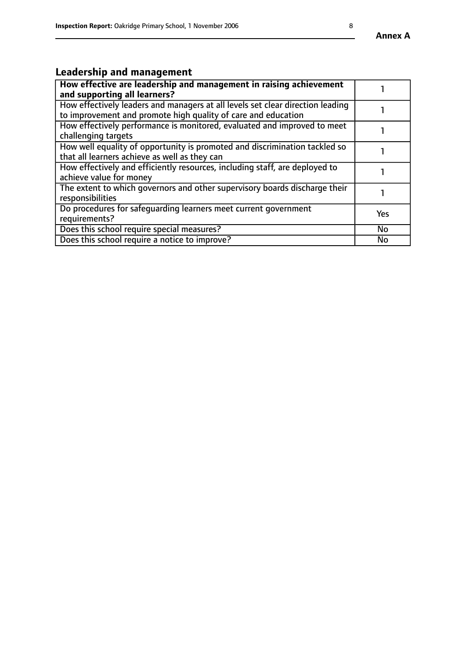# **Leadership and management**

| How effective are leadership and management in raising achievement<br>and supporting all learners?                                              |           |
|-------------------------------------------------------------------------------------------------------------------------------------------------|-----------|
| How effectively leaders and managers at all levels set clear direction leading<br>to improvement and promote high quality of care and education |           |
| How effectively performance is monitored, evaluated and improved to meet<br>challenging targets                                                 |           |
| How well equality of opportunity is promoted and discrimination tackled so<br>that all learners achieve as well as they can                     |           |
| How effectively and efficiently resources, including staff, are deployed to<br>achieve value for money                                          |           |
| The extent to which governors and other supervisory boards discharge their<br>responsibilities                                                  |           |
| Do procedures for safequarding learners meet current government<br>requirements?                                                                | Yes       |
| Does this school require special measures?                                                                                                      | <b>No</b> |
| Does this school require a notice to improve?                                                                                                   | No        |